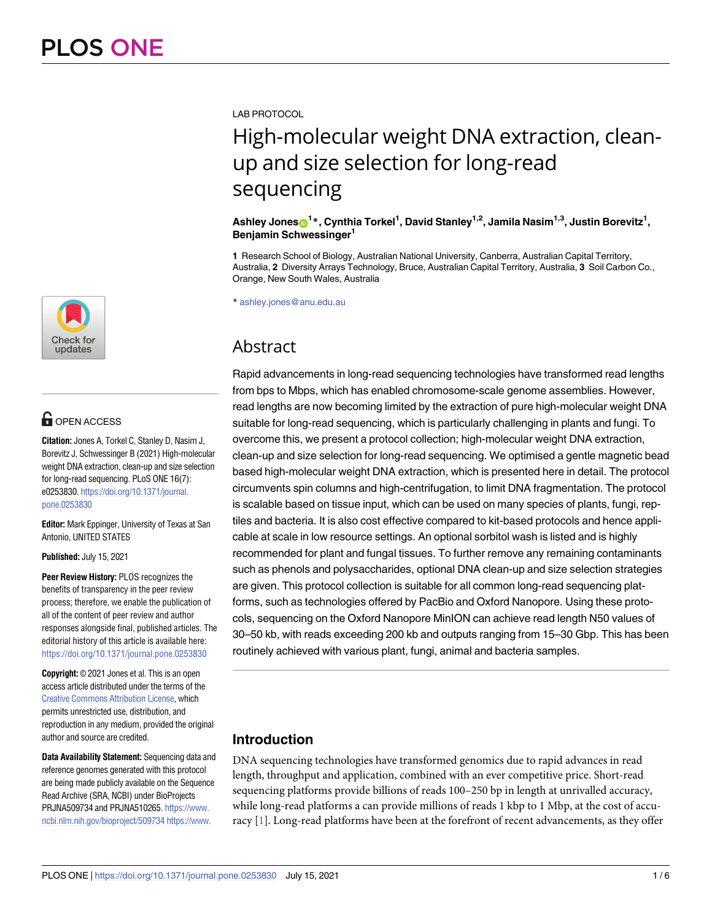

# **G** OPEN ACCESS

**Citation:** Jones A, Torkel C, Stanley D, Nasim J, Borevitz J, Schwessinger B (2021) High-molecular weight DNA extraction, clean-up and size selection for long-read sequencing. PLoS ONE 16(7): e0253830. [https://doi.org/10.1371/journal.](https://doi.org/10.1371/journal.pone.0253830) [pone.0253830](https://doi.org/10.1371/journal.pone.0253830)

**Editor:** Mark Eppinger, University of Texas at San Antonio, UNITED STATES

**Published:** July 15, 2021

**Peer Review History:** PLOS recognizes the benefits of transparency in the peer review process; therefore, we enable the publication of all of the content of peer review and author responses alongside final, published articles. The editorial history of this article is available here: <https://doi.org/10.1371/journal.pone.0253830>

**Copyright:** © 2021 Jones et al. This is an open access article distributed under the terms of the Creative Commons [Attribution](http://creativecommons.org/licenses/by/4.0/) License, which permits unrestricted use, distribution, and reproduction in any medium, provided the original author and source are credited.

**Data Availability Statement:** Sequencing data and reference genomes generated with this protocol are being made publicly available on the Sequence Read Archive (SRA, NCBI) under BioProjects PRJNA509734 and PRJNA510265. [https://www.](https://www.ncbi.nlm.nih.gov/bioproject/509734) [ncbi.nlm.nih.gov/bioproject/509734](https://www.ncbi.nlm.nih.gov/bioproject/509734) [https://www.](https://www.ncbi.nlm.nih.gov/sra?linkname=bioproject_sra_all&from_uid=510265)

<span id="page-0-0"></span>LAB PROTOCOL

# High-molecular weight DNA extraction, cleanup and size selection for long-read sequencing

 $\boldsymbol{\Lambda}$ shley Jones $\boldsymbol{\odot}^\textbf{1}{}^*$ , Cynthia Torkel<sup>1</sup>, David Stanley<sup>1,2</sup>, Jamila Nasim<sup>1,3</sup>, Justin Borevitz<sup>1</sup>, **Benjamin Schwessinger1**

**1** Research School of Biology, Australian National University, Canberra, Australian Capital Territory, Australia, **2** Diversity Arrays Technology, Bruce, Australian Capital Territory, Australia, **3** Soil Carbon Co., Orange, New South Wales, Australia

\* ashley.jones@anu.edu.au

## Abstract

Rapid advancements in long-read sequencing technologies have transformed read lengths from bps to Mbps, which has enabled chromosome-scale genome assemblies. However, read lengths are now becoming limited by the extraction of pure high-molecular weight DNA suitable for long-read sequencing, which is particularly challenging in plants and fungi. To overcome this, we present a protocol collection; high-molecular weight DNA extraction, clean-up and size selection for long-read sequencing. We optimised a gentle magnetic bead based high-molecular weight DNA extraction, which is presented here in detail. The protocol circumvents spin columns and high-centrifugation, to limit DNA fragmentation. The protocol is scalable based on tissue input, which can be used on many species of plants, fungi, reptiles and bacteria. It is also cost effective compared to kit-based protocols and hence applicable at scale in low resource settings. An optional sorbitol wash is listed and is highly recommended for plant and fungal tissues. To further remove any remaining contaminants such as phenols and polysaccharides, optional DNA clean-up and size selection strategies are given. This protocol collection is suitable for all common long-read sequencing platforms, such as technologies offered by PacBio and Oxford Nanopore. Using these protocols, sequencing on the Oxford Nanopore MinION can achieve read length N50 values of 30–50 kb, with reads exceeding 200 kb and outputs ranging from 15–30 Gbp. This has been routinely achieved with various plant, fungi, animal and bacteria samples.

## **Introduction**

DNA sequencing technologies have transformed genomics due to rapid advances in read length, throughput and application, combined with an ever competitive price. Short-read sequencing platforms provide billions of reads 100–250 bp in length at unrivalled accuracy, while long-read platforms a can provide millions of reads 1 kbp to 1 Mbp, at the cost of accuracy [\[1](#page-5-0)]. Long-read platforms have been at the forefront of recent advancements, as they offer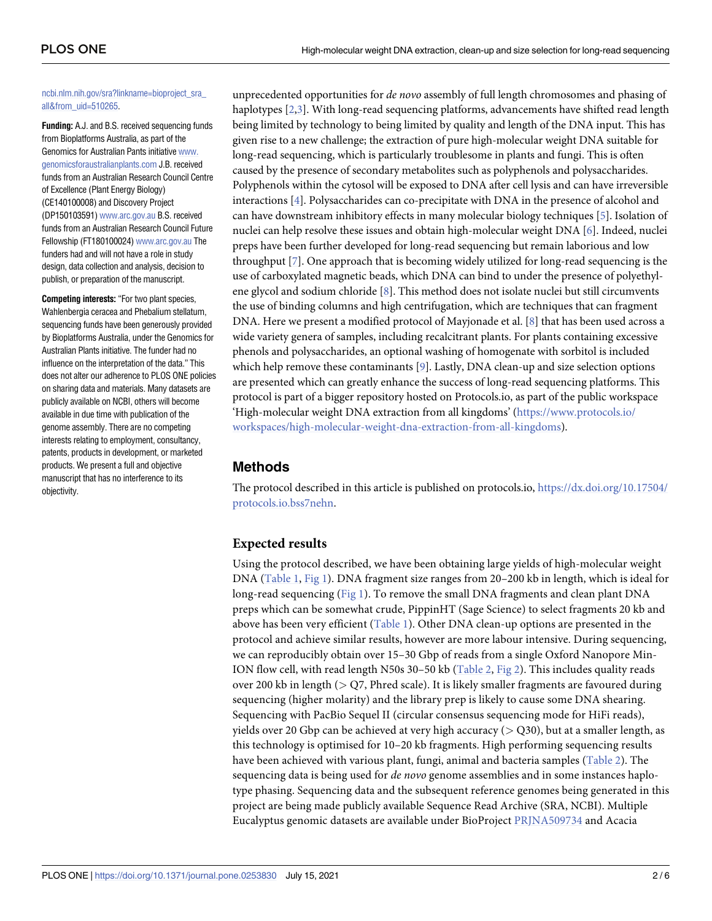#### <span id="page-1-0"></span>[ncbi.nlm.nih.gov/sra?linkname=bioproject\\_sra\\_](https://www.ncbi.nlm.nih.gov/sra?linkname=bioproject_sra_all&from_uid=510265) [all&from\\_uid=510265](https://www.ncbi.nlm.nih.gov/sra?linkname=bioproject_sra_all&from_uid=510265).

**Funding:** A.J. and B.S. received sequencing funds from Bioplatforms Australia, as part of the Genomics for Australian Pants initiative [www.](http://www.genomicsforaustralianplants.com) [genomicsforaustralianplants.com](http://www.genomicsforaustralianplants.com) J.B. received funds from an Australian Research Council Centre of Excellence (Plant Energy Biology) (CE140100008) and Discovery Project (DP150103591) [www.arc.gov.au](http://www.arc.gov.au) B.S. received funds from an Australian Research Council Future Fellowship (FT180100024) [www.arc.gov.au](http://www.arc.gov.au) The funders had and will not have a role in study design, data collection and analysis, decision to publish, or preparation of the manuscript.

**Competing interests:** "For two plant species, Wahlenbergia ceracea and Phebalium stellatum, sequencing funds have been generously provided by Bioplatforms Australia, under the Genomics for Australian Plants initiative. The funder had no influence on the interpretation of the data." This does not alter our adherence to PLOS ONE policies on sharing data and materials. Many datasets are publicly available on NCBI, others will become available in due time with publication of the genome assembly. There are no competing interests relating to employment, consultancy, patents, products in development, or marketed products. We present a full and objective manuscript that has no interference to its objectivity.

unprecedented opportunities for *de novo* assembly of full length chromosomes and phasing of haplotypes [\[2,3](#page-5-0)]. With long-read sequencing platforms, advancements have shifted read length being limited by technology to being limited by quality and length of the DNA input. This has given rise to a new challenge; the extraction of pure high-molecular weight DNA suitable for long-read sequencing, which is particularly troublesome in plants and fungi. This is often caused by the presence of secondary metabolites such as polyphenols and polysaccharides. Polyphenols within the cytosol will be exposed to DNA after cell lysis and can have irreversible interactions [\[4\]](#page-5-0). Polysaccharides can co-precipitate with DNA in the presence of alcohol and can have downstream inhibitory effects in many molecular biology techniques [\[5\]](#page-5-0). Isolation of nuclei can help resolve these issues and obtain high-molecular weight DNA [[6](#page-5-0)]. Indeed, nuclei preps have been further developed for long-read sequencing but remain laborious and low throughput [\[7\]](#page-5-0). One approach that is becoming widely utilized for long-read sequencing is the use of carboxylated magnetic beads, which DNA can bind to under the presence of polyethylene glycol and sodium chloride [[8\]](#page-5-0). This method does not isolate nuclei but still circumvents the use of binding columns and high centrifugation, which are techniques that can fragment DNA. Here we present a modified protocol of Mayjonade et al. [\[8\]](#page-5-0) that has been used across a wide variety genera of samples, including recalcitrant plants. For plants containing excessive phenols and polysaccharides, an optional washing of homogenate with sorbitol is included which help remove these contaminants [\[9\]](#page-5-0). Lastly, DNA clean-up and size selection options are presented which can greatly enhance the success of long-read sequencing platforms. This protocol is part of a bigger repository hosted on Protocols.io, as part of the public workspace 'High-molecular weight DNA extraction from all kingdoms' ([https://www.protocols.io/](https://www.protocols.io/workspaces/high-molecular-weight-dna-extraction-from-all-kingdoms) [workspaces/high-molecular-weight-dna-extraction-from-all-kingdoms\)](https://www.protocols.io/workspaces/high-molecular-weight-dna-extraction-from-all-kingdoms).

### **Methods**

The protocol described in this article is published on protocols.io, [https://dx.doi.org/10.17504/](https://dx.doi.org/10.17504/protocols.io.bss7nehn) [protocols.io.bss7nehn](https://dx.doi.org/10.17504/protocols.io.bss7nehn).

#### **Expected results**

Using the protocol described, we have been obtaining large yields of high-molecular weight DNA ([Table](#page-2-0) 1, [Fig](#page-2-0) 1). DNA fragment size ranges from 20–200 kb in length, which is ideal for long-read sequencing [\(Fig](#page-2-0) 1). To remove the small DNA fragments and clean plant DNA preps which can be somewhat crude, PippinHT (Sage Science) to select fragments 20 kb and above has been very efficient ([Table](#page-2-0) 1). Other DNA clean-up options are presented in the protocol and achieve similar results, however are more labour intensive. During sequencing, we can reproducibly obtain over 15–30 Gbp of reads from a single Oxford Nanopore Min-ION flow cell, with read length N50s 30–50 kb ([Table](#page-3-0) 2, [Fig](#page-4-0) 2). This includes quality reads over 200 kb in length (*>* Q7, Phred scale). It is likely smaller fragments are favoured during sequencing (higher molarity) and the library prep is likely to cause some DNA shearing. Sequencing with PacBio Sequel II (circular consensus sequencing mode for HiFi reads), yields over 20 Gbp can be achieved at very high accuracy (*>* Q30), but at a smaller length, as this technology is optimised for 10–20 kb fragments. High performing sequencing results have been achieved with various plant, fungi, animal and bacteria samples [\(Table](#page-3-0) 2). The sequencing data is being used for *de novo* genome assemblies and in some instances haplotype phasing. Sequencing data and the subsequent reference genomes being generated in this project are being made publicly available Sequence Read Archive (SRA, NCBI). Multiple Eucalyptus genomic datasets are available under BioProject [PRJNA509734](https://www.ncbi.nlm.nih.gov/bioproject/509734) and Acacia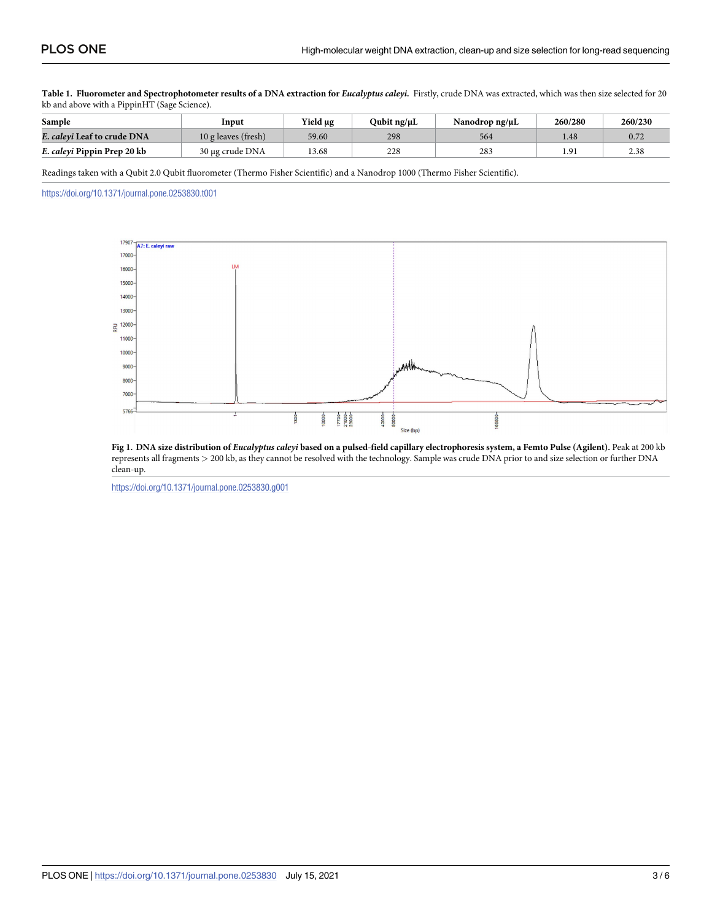<span id="page-2-0"></span>[Table](#page-1-0) 1. Fluorometer and Spectrophotometer results of a DNA extraction for Eucalyptus caleyi. Firstly, crude DNA was extracted, which was then size selected for 20 kb and above with a PippinHT (Sage Science).

| Sample                      | Input               | Yield µg | Tubit ng/µL | Nanodrop ng/μL | 260/280 | 260/230 |
|-----------------------------|---------------------|----------|-------------|----------------|---------|---------|
| E. calevi Leaf to crude DNA | 10 g leaves (fresh) | 59.60    | 298         | 564            | 1.48    | 0.72    |
| E. caleyi Pippin Prep 20 kb | 30 µg crude DNA     | 13.68    | 228         | 283            |         | 2.38    |

Readings taken with a Qubit 2.0 Qubit fluorometer (Thermo Fisher Scientific) and a Nanodrop 1000 (Thermo Fisher Scientific).

<https://doi.org/10.1371/journal.pone.0253830.t001>



[Fig](#page-1-0) 1. DNA size distribution of Eucalyptus caleyi based on a pulsed-field capillary electrophoresis system, a Femto Pulse (Agilent). Peak at 200 kb represents all fragments *>* 200 kb, as they cannot be resolved with the technology. Sample was crude DNA prior to and size selection or further DNA clean-up.

<https://doi.org/10.1371/journal.pone.0253830.g001>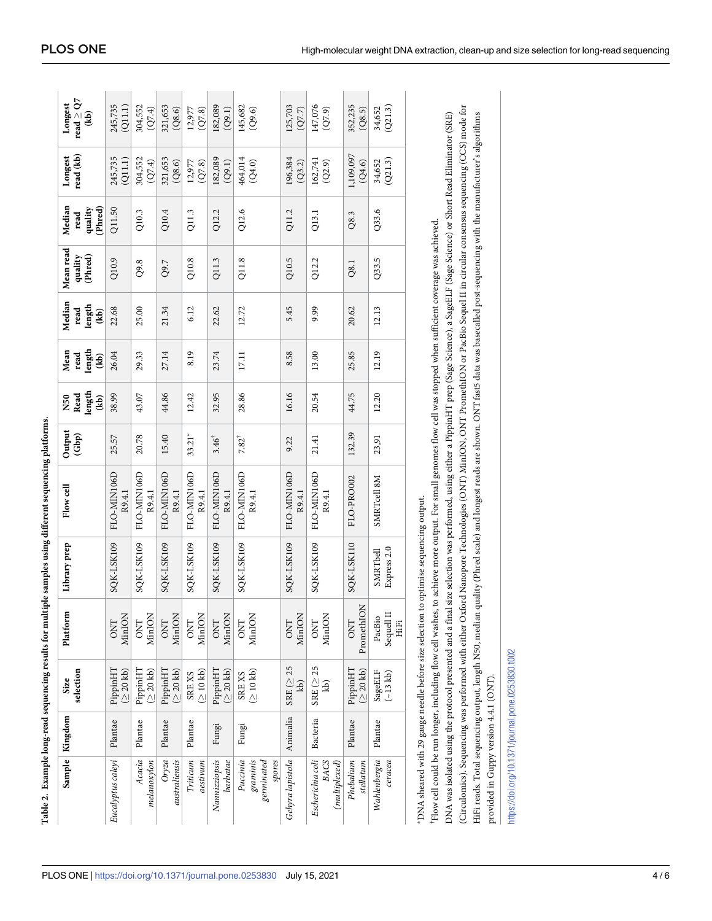<span id="page-3-0"></span>

|                                                                                                                                                                   | Sample Kingdom | selection<br>Size                                                     | Platform                     | Library prep            | Flow cell                                                                                                                                                                                                                                                                                              | Output<br>(Gbp)  | length<br>Read<br><b>N50</b><br>(B) | length<br>Mean<br>read<br>(b) | Median<br>length<br>read<br>$\ddot{a}$ | Mean read<br>(Phred)<br>quality | Median<br>Phred)<br>quality<br>read | read (kb)<br>Longest  | read $\ge$ Q7<br>Longest<br>$\overline{\textbf{(kb)}}$ |
|-------------------------------------------------------------------------------------------------------------------------------------------------------------------|----------------|-----------------------------------------------------------------------|------------------------------|-------------------------|--------------------------------------------------------------------------------------------------------------------------------------------------------------------------------------------------------------------------------------------------------------------------------------------------------|------------------|-------------------------------------|-------------------------------|----------------------------------------|---------------------------------|-------------------------------------|-----------------------|--------------------------------------------------------|
| Eucalyptus caleyi                                                                                                                                                 | Plantae        | PippinHT<br>(220kb)                                                   | MinION<br><b>ONT</b>         | SQK-LSK109              | FLO-MIN106D<br>R9.4.1                                                                                                                                                                                                                                                                                  | 25.57            | 38.99                               | 26.04                         | 22.68                                  | Q10.9                           | Q11.50                              | 245,735<br>(Q11.1)    | 245,735<br>(Q11.1)                                     |
| Acacia<br>mela no x y lon                                                                                                                                         | Plantae        | PippinHT<br>$(220 \text{ kb})$                                        | <b>MinION</b><br><b>ONT</b>  | SQK-LSK109              | FLO-MIN106D<br>R9.4.1                                                                                                                                                                                                                                                                                  | 20.78            | 43.07                               | 29.33                         | 25.00                                  | Q9.8                            | Q10.3                               | 304,552<br>(Q7.4)     | 304,552<br>(Q7.4)                                      |
| Oryza<br>australiensis                                                                                                                                            | Plantae        | PippinHT<br>$(\geq 20~\mbox{kb})$                                     | <b>MinION</b><br><b>DNL</b>  | SQK-LSK109              | FLO-MIN106D<br>R9.4.1                                                                                                                                                                                                                                                                                  | 15.40            | 44.86                               | 27.14                         | 21.34                                  | Q9.7                            | Q10.4                               | 321,653<br>(Q8.6)     | 321,653<br>(Q8.6)                                      |
| Triticum<br>aestivum                                                                                                                                              | $Plantae$      | (210kb)<br>SREXS                                                      | <b>MinION</b><br><b>ONT</b>  | SQK-LSK109              | FLO-MIN106D<br>R9.4.1                                                                                                                                                                                                                                                                                  | $33.21*$         | 12.42                               | 8.19                          | 6.12                                   | Q10.8                           | Q11.3                               | 12,977<br>(Q7.8)      | 12,977<br>(Q7.8)                                       |
| Nannizziopsis<br>barbatae                                                                                                                                         | Fungi          | PippinHT<br>(220kb)                                                   | MinION<br><b>ONT</b>         | SQK-LSK109              | FLO-MIN106D<br>R9.4.1                                                                                                                                                                                                                                                                                  | $3.46^{\dagger}$ | 32.95                               | 23.74                         | 22.62                                  | Q11.3                           | Q12.2                               | 182,089<br>(Q9.1)     | 182,089<br>(Q9.1)                                      |
| Puccinia<br>grannis<br>germinated<br>spores                                                                                                                       | Fungi          | (210kb)<br>SREXS                                                      | MinION<br><b>ONT</b>         | SQK-LSK109              | FLO-MIN106D<br>R9.4.1                                                                                                                                                                                                                                                                                  | $7.82^{\dagger}$ | 28.86                               | 17.11                         | 12.72                                  | Q11.8                           | Q12.6                               | 464,014<br>(Q4.0)     | 145,682<br>(Q9.6)                                      |
| Gehyra lapistola   Animalia                                                                                                                                       |                | SRE $( \geq 25$<br>kb)                                                | <b>MinION</b><br><b>ONT</b>  | SQK-LSK109              | FLO-MIN106D<br>R9.4.1                                                                                                                                                                                                                                                                                  | 9.22             | 16.16                               | 8.58                          | 5.45                                   | Q10.5                           | Q11.2                               | 196,384<br>(Q3.2)     | 125,703<br>(Q7.7)                                      |
| Escherichia coli<br><b>BACS</b><br>(multiplexed)                                                                                                                  | Bacteria       | $SRE$ ( $\geq$ 25<br>kb)                                              | MinION<br><b>DNT</b>         | SQK-LSK109              | FLO-MIN106D<br>R9.4.1                                                                                                                                                                                                                                                                                  | 21.41            | 20.54                               | 13.00                         | 9.99                                   | Q12.2                           | Q13.1                               | 162,741<br>(Q2.9)     | 147,076<br>(Q7.9)                                      |
| Phebalium<br>stellatum                                                                                                                                            | Plantae        | (220 k b)<br>PippinHT                                                 | PromethION<br><b>ONT</b>     | SQK-LSK110              | FLO-PRO002                                                                                                                                                                                                                                                                                             | 132.39           | 44.75                               | 25.85                         | 20.62                                  | Q8.1                            | Q8.3                                | 1,109,097<br>$(Q4.6)$ | 352,235<br>(Q8.5)                                      |
| Wahlenbergia<br>ceracea                                                                                                                                           | Plantae        | $\begin{array}{c} \text{SageELF} \\ (\sim\!13\text{ kb}) \end{array}$ | Sequell II<br>PacBio<br>HiFi | Express 2.0<br>SMRTbell | SMRTcell 8M                                                                                                                                                                                                                                                                                            | 23,91            | 12.20                               | 12.19                         | 12.13                                  | Q33.5                           | Q33.6                               | (Q21.3)<br>34,652     | (Q21.3)<br>34,652                                      |
| *DNA sheared with 29 gauge needle before size selection to optimise sequencing output.<br><sup>1</sup> Flow cell could be run longer, including flow cell washes, |                |                                                                       |                              |                         | DNA was isolated using the protocol presented and a final size selection was performed, using either a PippinHT prep (Sage Science), a SageELF (Sage Science) or Short Read Eliminator (SRE)<br>to achieve more output. For small genomes flow cell was stopped when sufficient coverage was achieved. |                  |                                     |                               |                                        |                                 |                                     |                       |                                                        |

(Circulomics). Sequencing was performed with either Oxford Nanopore Technologies (ONT) MinION, ONT PromethION or PacBio Sequel II in circular consensus sequencing (CCS) mode for (Circulomics). Sequencing was performed with either Oxford Nanopore Technologies (ONT) MinION, ONT PromethION or PacBio Sequel II in circular consensus sequencing (CCS) mode for HiFi reads. Total sequencing output, length N50, median quality (Phred scale) and longest reads are shown. ONT fast5 data was basecalled post-sequencing with the manufacturer's algorithms HiFi reads. Total sequencing output, length N50, median quality (Phred scale) and longest reads are shown. ONT fast5 data was basecalled post-sequencing with the manufacturer's algorithms provided in Guppy version 4.4.1 (ONT). provided in Guppy version 4.4.1 (ONT).

https://doi.org/10.1371/journal.pone.0253830.t002 <https://doi.org/10.1371/journal.pone.0253830.t002>

**[Table](#page-1-0) 2. Example long-read sequencing results for multiple samples using different sequencing platforms.**

Table 2. Example long-read sequencing results for multiple samples using different sequencing platforms.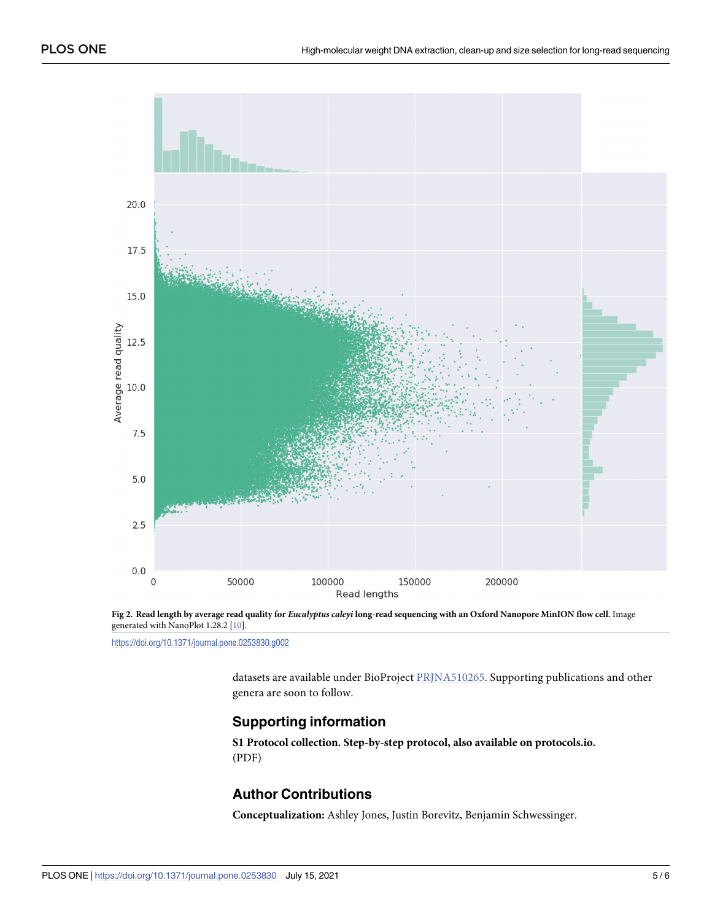<span id="page-4-0"></span>

[Fig](#page-1-0) 2. Read length by average read quality for Eucalyptus caleyi long-read sequencing with an Oxford Nanopore MinION flow cell. Image generated with NanoPlot 1.28.2 [\[10\]](#page-5-0).

<https://doi.org/10.1371/journal.pone.0253830.g002>

datasets are available under BioProject [PRJNA510265.](https://www.ncbi.nlm.nih.gov/bioproject/PRJNA510265) Supporting publications and other genera are soon to follow.

#### **Supporting information**

**S1 Protocol [collection.](http://www.plosone.org/article/fetchSingleRepresentation.action?uri=info:doi/10.1371/journal.pone.0253830.s001) Step-by-step protocol, also available on protocols.io.** (PDF)

#### **Author Contributions**

**Conceptualization:** Ashley Jones, Justin Borevitz, Benjamin Schwessinger.